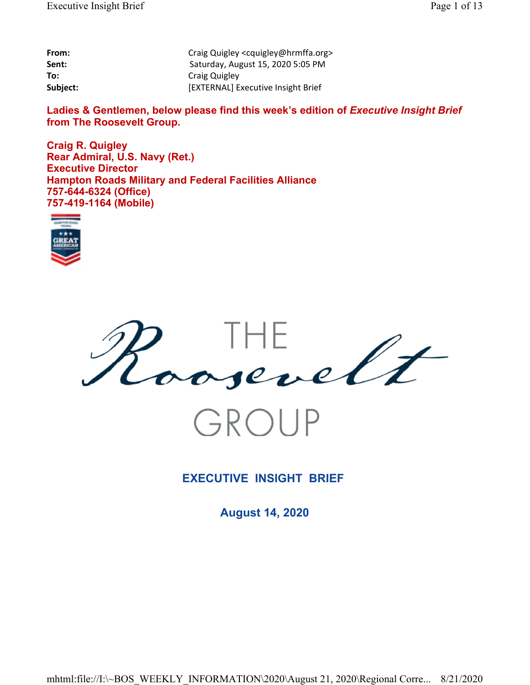| From:    | Craig Quigley <cquigley@hrmffa.org></cquigley@hrmffa.org> |
|----------|-----------------------------------------------------------|
| Sent:    | Saturday, August 15, 2020 5:05 PM                         |
| To:      | Craig Quigley                                             |
| Subject: | [EXTERNAL] Executive Insight Brief                        |

Ladies & Gentlemen, below please find this week's edition of *Executive Insight Brief* **from The Roosevelt Group.**

**Craig R. Quigley Rear Admiral, U.S. Navy (Ret.) Executive Director Hampton Roads Military and Federal Facilities Alliance 757-644-6324 (Office) 757-419-1164 (Mobile)**





# **EXECUTIVE INSIGHT BRIEF**

**August 14, 2020**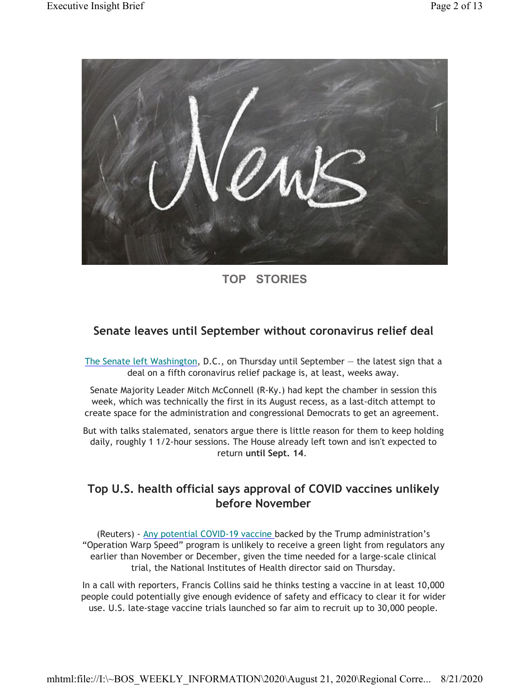

# **TOP STORIES**

## **Senate leaves until September without coronavirus relief deal**

The Senate left Washington, D.C., on Thursday until September  $-$  the latest sign that a deal on a fifth coronavirus relief package is, at least, weeks away.

Senate Majority Leader Mitch McConnell (R-Ky.) had kept the chamber in session this week, which was technically the first in its August recess, as a last-ditch attempt to create space for the administration and congressional Democrats to get an agreement.

But with talks stalemated, senators argue there is little reason for them to keep holding daily, roughly 1 1/2-hour sessions. The House already left town and isn't expected to return **until Sept. 14**.

# **Top U.S. health official says approval of COVID vaccines unlikely before November**

(Reuters) - Any potential COVID-19 vaccine backed by the Trump administration's "Operation Warp Speed" program is unlikely to receive a green light from regulators any earlier than November or December, given the time needed for a large-scale clinical trial, the National Institutes of Health director said on Thursday.

In a call with reporters, Francis Collins said he thinks testing a vaccine in at least 10,000 people could potentially give enough evidence of safety and efficacy to clear it for wider use. U.S. late-stage vaccine trials launched so far aim to recruit up to 30,000 people.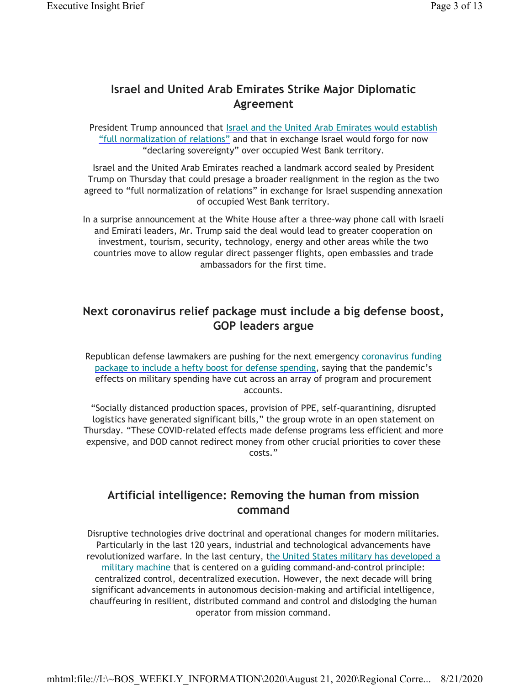## **Israel and United Arab Emirates Strike Major Diplomatic Agreement**

President Trump announced that Israel and the United Arab Emirates would establish "full normalization of relations" and that in exchange Israel would forgo for now "declaring sovereignty" over occupied West Bank territory.

Israel and the United Arab Emirates reached a landmark accord sealed by President Trump on Thursday that could presage a broader realignment in the region as the two agreed to "full normalization of relations" in exchange for Israel suspending annexation of occupied West Bank territory.

In a surprise announcement at the White House after a three-way phone call with Israeli and Emirati leaders, Mr. Trump said the deal would lead to greater cooperation on investment, tourism, security, technology, energy and other areas while the two countries move to allow regular direct passenger flights, open embassies and trade ambassadors for the first time.

## **Next coronavirus relief package must include a big defense boost, GOP leaders argue**

Republican defense lawmakers are pushing for the next emergency coronavirus funding package to include a hefty boost for defense spending, saying that the pandemic's effects on military spending have cut across an array of program and procurement accounts.

"Socially distanced production spaces, provision of PPE, self-quarantining, disrupted logistics have generated significant bills," the group wrote in an open statement on Thursday. "These COVID-related effects made defense programs less efficient and more expensive, and DOD cannot redirect money from other crucial priorities to cover these costs."

### **Artificial intelligence: Removing the human from mission command**

Disruptive technologies drive doctrinal and operational changes for modern militaries. Particularly in the last 120 years, industrial and technological advancements have revolutionized warfare. In the last century, the United States military has developed a military machine that is centered on a guiding command-and-control principle: centralized control, decentralized execution. However, the next decade will bring significant advancements in autonomous decision-making and artificial intelligence, chauffeuring in resilient, distributed command and control and dislodging the human operator from mission command.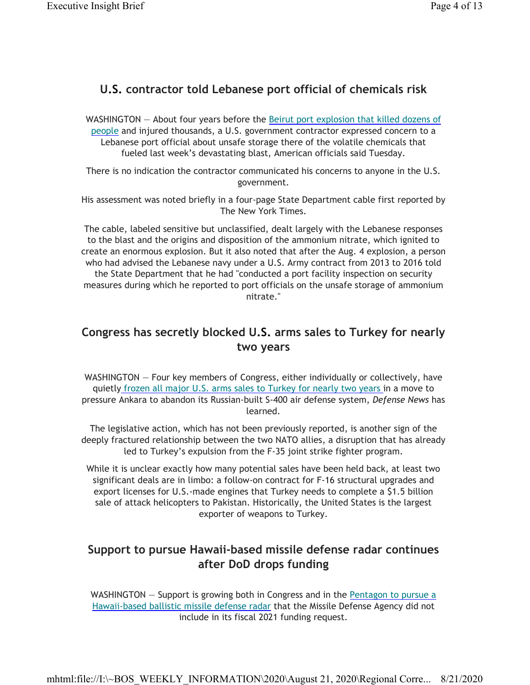### **U.S. contractor told Lebanese port official of chemicals risk**

WASHINGTON — About four years before the Beirut port explosion that killed dozens of people and injured thousands, a U.S. government contractor expressed concern to a Lebanese port official about unsafe storage there of the volatile chemicals that fueled last week's devastating blast, American officials said Tuesday.

There is no indication the contractor communicated his concerns to anyone in the U.S. government.

His assessment was noted briefly in a four-page State Department cable first reported by The New York Times.

The cable, labeled sensitive but unclassified, dealt largely with the Lebanese responses to the blast and the origins and disposition of the ammonium nitrate, which ignited to create an enormous explosion. But it also noted that after the Aug. 4 explosion, a person who had advised the Lebanese navy under a U.S. Army contract from 2013 to 2016 told the State Department that he had "conducted a port facility inspection on security measures during which he reported to port officials on the unsafe storage of ammonium nitrate."

# **Congress has secretly blocked U.S. arms sales to Turkey for nearly two years**

WASHINGTON — Four key members of Congress, either individually or collectively, have quietly frozen all major U.S. arms sales to Turkey for nearly two years in a move to pressure Ankara to abandon its Russian-built S-400 air defense system, *Defense News* has learned.

The legislative action, which has not been previously reported, is another sign of the deeply fractured relationship between the two NATO allies, a disruption that has already led to Turkey's expulsion from the F-35 joint strike fighter program.

While it is unclear exactly how many potential sales have been held back, at least two significant deals are in limbo: a follow-on contract for F-16 structural upgrades and export licenses for U.S.-made engines that Turkey needs to complete a \$1.5 billion sale of attack helicopters to Pakistan. Historically, the United States is the largest exporter of weapons to Turkey.

# **Support to pursue Hawaii-based missile defense radar continues after DoD drops funding**

WASHINGTON – Support is growing both in Congress and in the Pentagon to pursue a Hawaii-based ballistic missile defense radar that the Missile Defense Agency did not include in its fiscal 2021 funding request.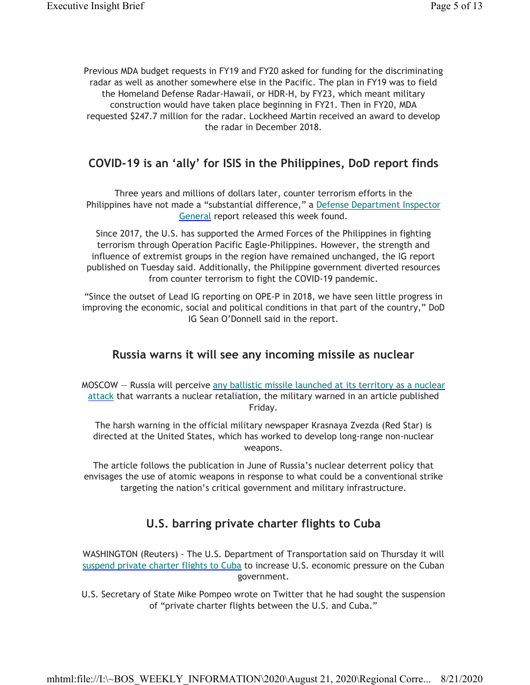Previous MDA budget requests in FY19 and FY20 asked for funding for the discriminating radar as well as another somewhere else in the Pacific. The plan in FY19 was to field the Homeland Defense Radar-Hawaii, or HDR-H, by FY23, which meant military construction would have taken place beginning in FY21. Then in FY20, MDA requested \$247.7 million for the radar. Lockheed Martin received an award to develop the radar in December 2018.

## **COVID-19 is an 'ally' for ISIS in the Philippines, DoD report finds**

Three years and millions of dollars later, counter terrorism efforts in the Philippines have not made a "substantial difference," a Defense Department Inspector General report released this week found.

Since 2017, the U.S. has supported the Armed Forces of the Philippines in fighting terrorism through Operation Pacific Eagle-Philippines. However, the strength and influence of extremist groups in the region have remained unchanged, the IG report published on Tuesday said. Additionally, the Philippine government diverted resources from counter terrorism to fight the COVID-19 pandemic.

"Since the outset of Lead IG reporting on OPE-P in 2018, we have seen little progress in improving the economic, social and political conditions in that part of the country," DoD IG Sean O'Donnell said in the report.

#### **Russia warns it will see any incoming missile as nuclear**

MOSCOW – Russia will perceive any ballistic missile launched at its territory as a nuclear attack that warrants a nuclear retaliation, the military warned in an article published Friday.

The harsh warning in the official military newspaper Krasnaya Zvezda (Red Star) is directed at the United States, which has worked to develop long-range non-nuclear weapons.

The article follows the publication in June of Russia's nuclear deterrent policy that envisages the use of atomic weapons in response to what could be a conventional strike targeting the nation's critical government and military infrastructure.

### **U.S. barring private charter flights to Cuba**

WASHINGTON (Reuters) - The U.S. Department of Transportation said on Thursday it will suspend private charter flights to Cuba to increase U.S. economic pressure on the Cuban government.

U.S. Secretary of State Mike Pompeo wrote on Twitter that he had sought the suspension of "private charter flights between the U.S. and Cuba."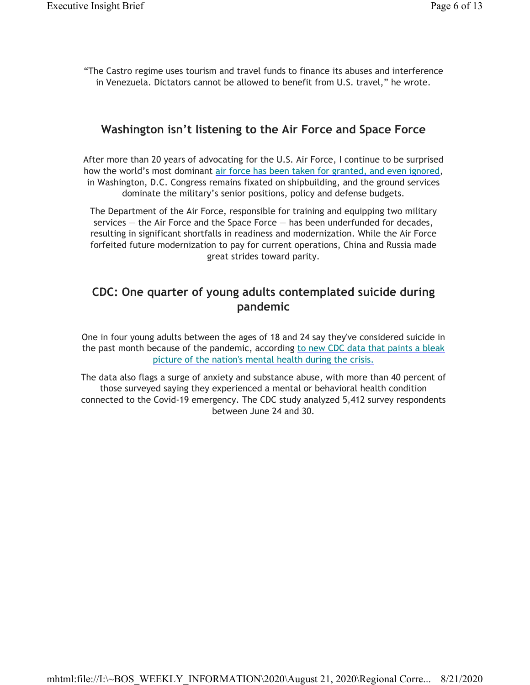"The Castro regime uses tourism and travel funds to finance its abuses and interference in Venezuela. Dictators cannot be allowed to benefit from U.S. travel," he wrote.

#### **Washington isn't listening to the Air Force and Space Force**

After more than 20 years of advocating for the U.S. Air Force, I continue to be surprised how the world's most dominant air force has been taken for granted, and even ignored, in Washington, D.C. Congress remains fixated on shipbuilding, and the ground services dominate the military's senior positions, policy and defense budgets.

The Department of the Air Force, responsible for training and equipping two military services — the Air Force and the Space Force — has been underfunded for decades, resulting in significant shortfalls in readiness and modernization. While the Air Force forfeited future modernization to pay for current operations, China and Russia made great strides toward parity.

### **CDC: One quarter of young adults contemplated suicide during pandemic**

One in four young adults between the ages of 18 and 24 say they've considered suicide in the past month because of the pandemic, according to new CDC data that paints a bleak picture of the nation's mental health during the crisis.

The data also flags a surge of anxiety and substance abuse, with more than 40 percent of those surveyed saying they experienced a mental or behavioral health condition connected to the Covid-19 emergency. The CDC study analyzed 5,412 survey respondents between June 24 and 30.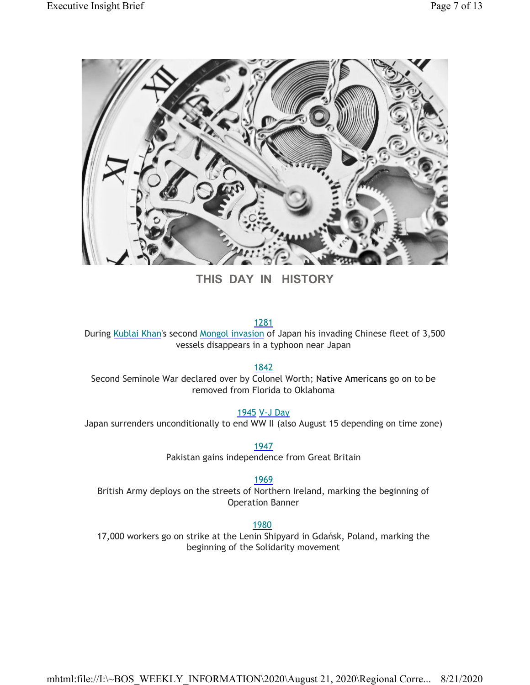

**THIS DAY IN HISTORY**

1281

During Kublai Khan's second Mongol invasion of Japan his invading Chinese fleet of 3,500 vessels disappears in a typhoon near Japan

1842

Second Seminole War declared over by Colonel Worth; Native Americans go on to be removed from Florida to Oklahoma

1945 V-J Day

Japan surrenders unconditionally to end WW II (also August 15 depending on time zone)

1947 Pakistan gains independence from Great Britain

1969

British Army deploys on the streets of Northern Ireland, marking the beginning of Operation Banner

1980

17,000 workers go on strike at the Lenin Shipyard in Gdańsk, Poland, marking the beginning of the Solidarity movement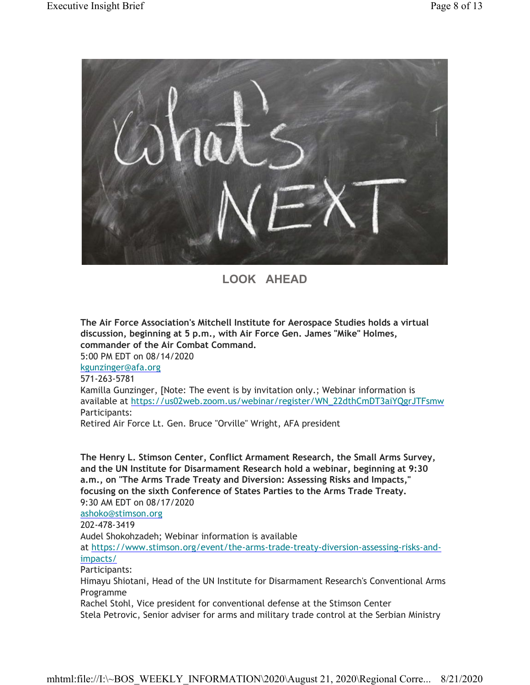

**LOOK AHEAD**

**The Air Force Association's Mitchell Institute for Aerospace Studies holds a virtual discussion, beginning at 5 p.m., with Air Force Gen. James "Mike" Holmes, commander of the Air Combat Command.** 5:00 PM EDT on 08/14/2020 kgunzinger@afa.org 571-263-5781 Kamilla Gunzinger, [Note: The event is by invitation only.; Webinar information is

available at https://us02web.zoom.us/webinar/register/WN\_22dthCmDT3aiYQgrJTFsmw Participants:

Retired Air Force Lt. Gen. Bruce "Orville" Wright, AFA president

**The Henry L. Stimson Center, Conflict Armament Research, the Small Arms Survey, and the UN Institute for Disarmament Research hold a webinar, beginning at 9:30 a.m., on "The Arms Trade Treaty and Diversion: Assessing Risks and Impacts," focusing on the sixth Conference of States Parties to the Arms Trade Treaty.**

9:30 AM EDT on 08/17/2020 ashoko@stimson.org 202-478-3419 Audel Shokohzadeh; Webinar information is available at https://www.stimson.org/event/the-arms-trade-treaty-diversion-assessing-risks-andimpacts/ Participants: Himayu Shiotani, Head of the UN Institute for Disarmament Research's Conventional Arms Programme

Rachel Stohl, Vice president for conventional defense at the Stimson Center Stela Petrovic, Senior adviser for arms and military trade control at the Serbian Ministry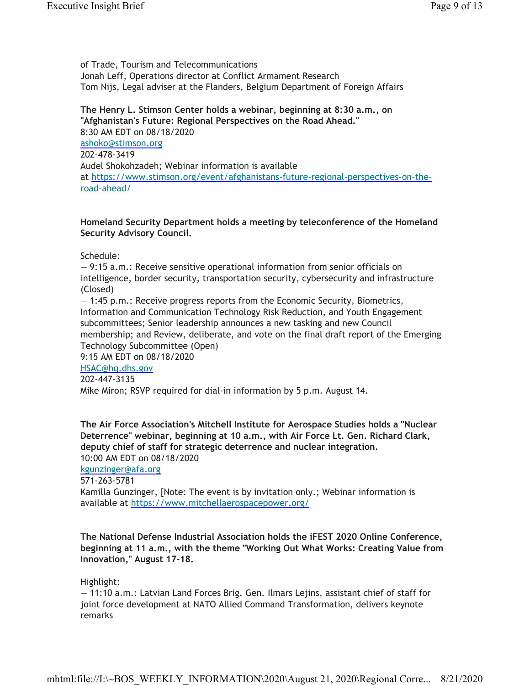of Trade, Tourism and Telecommunications Jonah Leff, Operations director at Conflict Armament Research Tom Nijs, Legal adviser at the Flanders, Belgium Department of Foreign Affairs

**The Henry L. Stimson Center holds a webinar, beginning at 8:30 a.m., on "Afghanistan's Future: Regional Perspectives on the Road Ahead."** 8:30 AM EDT on 08/18/2020 ashoko@stimson.org 202-478-3419 Audel Shokohzadeh; Webinar information is available at https://www.stimson.org/event/afghanistans-future-regional-perspectives-on-theroad-ahead/

#### **Homeland Security Department holds a meeting by teleconference of the Homeland Security Advisory Council.**

Schedule:

— 9:15 a.m.: Receive sensitive operational information from senior officials on intelligence, border security, transportation security, cybersecurity and infrastructure (Closed)

— 1:45 p.m.: Receive progress reports from the Economic Security, Biometrics, Information and Communication Technology Risk Reduction, and Youth Engagement subcommittees; Senior leadership announces a new tasking and new Council membership; and Review, deliberate, and vote on the final draft report of the Emerging Technology Subcommittee (Open)

9:15 AM EDT on 08/18/2020

HSAC@hq.dhs.gov

202-447-3135

Mike Miron; RSVP required for dial-in information by 5 p.m. August 14.

**The Air Force Association's Mitchell Institute for Aerospace Studies holds a "Nuclear Deterrence" webinar, beginning at 10 a.m., with Air Force Lt. Gen. Richard Clark, deputy chief of staff for strategic deterrence and nuclear integration.** 10:00 AM EDT on 08/18/2020

kgunzinger@afa.org

571-263-5781

Kamilla Gunzinger, [Note: The event is by invitation only.; Webinar information is available at https://www.mitchellaerospacepower.org/

**The National Defense Industrial Association holds the iFEST 2020 Online Conference, beginning at 11 a.m., with the theme "Working Out What Works: Creating Value from Innovation," August 17-18.**

Highlight:

— 11:10 a.m.: Latvian Land Forces Brig. Gen. Ilmars Lejins, assistant chief of staff for joint force development at NATO Allied Command Transformation, delivers keynote remarks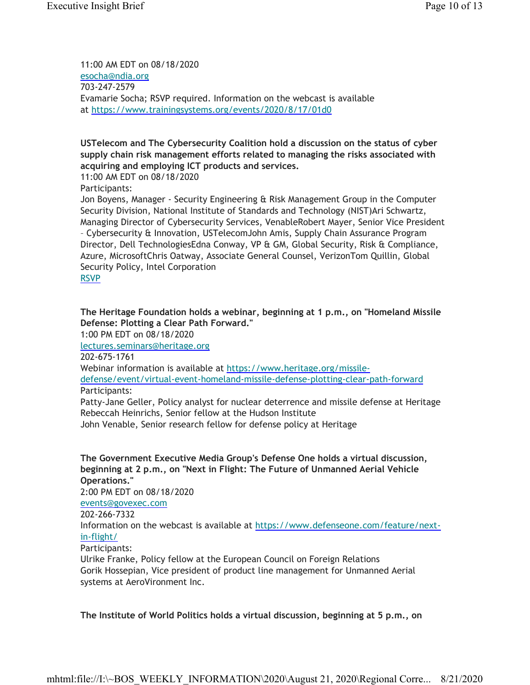11:00 AM EDT on 08/18/2020 esocha@ndia.org 703-247-2579 Evamarie Socha; RSVP required. Information on the webcast is available at https://www.trainingsystems.org/events/2020/8/17/01d0

#### **USTelecom and The Cybersecurity Coalition hold a discussion on the status of cyber supply chain risk management efforts related to managing the risks associated with acquiring and employing ICT products and services.**

11:00 AM EDT on 08/18/2020 Participants:

Jon Boyens, Manager - Security Engineering & Risk Management Group in the Computer Security Division, National Institute of Standards and Technology (NIST)Ari Schwartz, Managing Director of Cybersecurity Services, VenableRobert Mayer, Senior Vice President – Cybersecurity & Innovation, USTelecomJohn Amis, Supply Chain Assurance Program Director, Dell TechnologiesEdna Conway, VP & GM, Global Security, Risk & Compliance, Azure, MicrosoftChris Oatway, Associate General Counsel, VerizonTom Quillin, Global Security Policy, Intel Corporation RSVP

**The Heritage Foundation holds a webinar, beginning at 1 p.m., on "Homeland Missile Defense: Plotting a Clear Path Forward."**

1:00 PM EDT on 08/18/2020 lectures.seminars@heritage.org 202-675-1761 Webinar information is available at https://www.heritage.org/missiledefense/event/virtual-event-homeland-missile-defense-plotting-clear-path-forward Participants:

Patty-Jane Geller, Policy analyst for nuclear deterrence and missile defense at Heritage Rebeccah Heinrichs, Senior fellow at the Hudson Institute John Venable, Senior research fellow for defense policy at Heritage

**The Government Executive Media Group's Defense One holds a virtual discussion,** 

**beginning at 2 p.m., on "Next in Flight: The Future of Unmanned Aerial Vehicle Operations."** 2:00 PM EDT on 08/18/2020 events@govexec.com 202-266-7332 Information on the webcast is available at https://www.defenseone.com/feature/next-

#### in-flight/ Participants:

Ulrike Franke, Policy fellow at the European Council on Foreign Relations Gorik Hossepian, Vice president of product line management for Unmanned Aerial systems at AeroVironment Inc.

**The Institute of World Politics holds a virtual discussion, beginning at 5 p.m., on**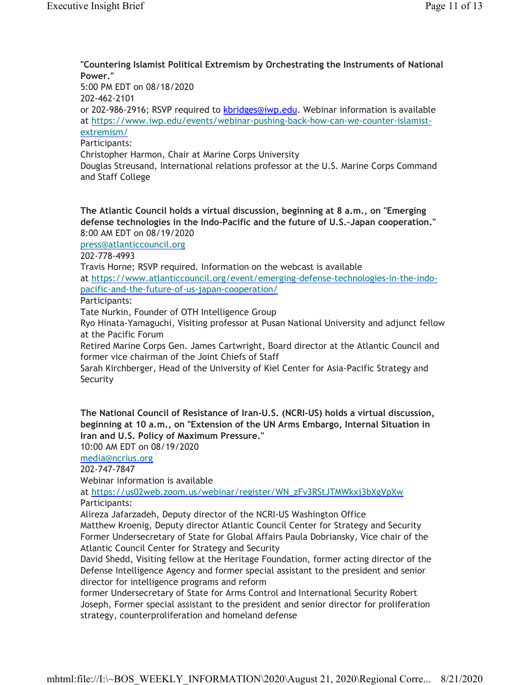#### **"Countering Islamist Political Extremism by Orchestrating the Instruments of National Power."**

5:00 PM EDT on 08/18/2020

202-462-2101

or 202-986-2916; RSVP required to **kbridges@iwp.edu**. Webinar information is available at https://www.iwp.edu/events/webinar-pushing-back-how-can-we-counter-islamistextremism/

Participants:

Christopher Harmon, Chair at Marine Corps University

Douglas Streusand, International relations professor at the U.S. Marine Corps Command and Staff College

**The Atlantic Council holds a virtual discussion, beginning at 8 a.m., on "Emerging defense technologies in the Indo-Pacific and the future of U.S.-Japan cooperation."** 8:00 AM EDT on 08/19/2020

press@atlanticcouncil.org

202-778-4993

Travis Horne; RSVP required. Information on the webcast is available

at https://www.atlanticcouncil.org/event/emerging-defense-technologies-in-the-indopacific-and-the-future-of-us-japan-cooperation/

Participants:

Tate Nurkin, Founder of OTH Intelligence Group

Ryo Hinata-Yamaguchi, Visiting professor at Pusan National University and adjunct fellow at the Pacific Forum

Retired Marine Corps Gen. James Cartwright, Board director at the Atlantic Council and former vice chairman of the Joint Chiefs of Staff

Sarah Kirchberger, Head of the University of Kiel Center for Asia-Pacific Strategy and Security

**The National Council of Resistance of Iran-U.S. (NCRI-US) holds a virtual discussion, beginning at 10 a.m., on "Extension of the UN Arms Embargo, Internal Situation in Iran and U.S. Policy of Maximum Pressure."**

10:00 AM EDT on 08/19/2020

media@ncrius.org

202-747-7847

Webinar information is available

at https://us02web.zoom.us/webinar/register/WN\_zFv3RStJTMWkxj3bXgVpXw Participants:

Alireza Jafarzadeh, Deputy director of the NCRI-US Washington Office

Matthew Kroenig, Deputy director Atlantic Council Center for Strategy and Security Former Undersecretary of State for Global Affairs Paula Dobriansky, Vice chair of the Atlantic Council Center for Strategy and Security

David Shedd, Visiting fellow at the Heritage Foundation, former acting director of the Defense Intelligence Agency and former special assistant to the president and senior director for intelligence programs and reform

former Undersecretary of State for Arms Control and International Security Robert Joseph, Former special assistant to the president and senior director for proliferation strategy, counterproliferation and homeland defense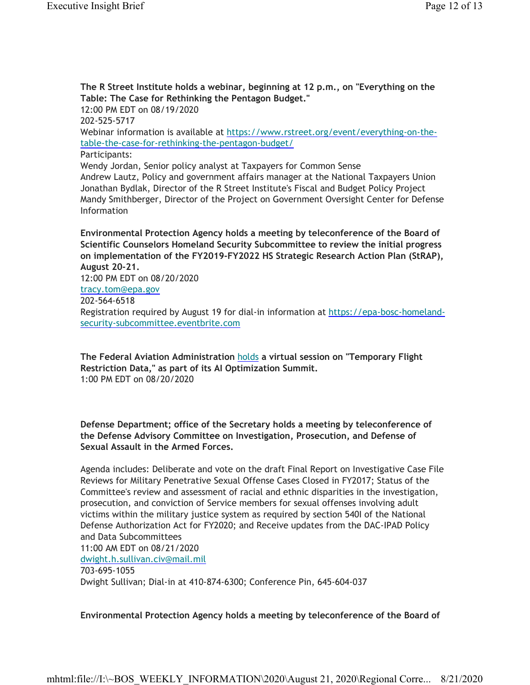Information

**The R Street Institute holds a webinar, beginning at 12 p.m., on "Everything on the Table: The Case for Rethinking the Pentagon Budget."** 12:00 PM EDT on 08/19/2020 202-525-5717 Webinar information is available at https://www.rstreet.org/event/everything-on-thetable-the-case-for-rethinking-the-pentagon-budget/ Participants: Wendy Jordan, Senior policy analyst at Taxpayers for Common Sense Andrew Lautz, Policy and government affairs manager at the National Taxpayers Union Jonathan Bydlak, Director of the R Street Institute's Fiscal and Budget Policy Project Mandy Smithberger, Director of the Project on Government Oversight Center for Defense

**Environmental Protection Agency holds a meeting by teleconference of the Board of Scientific Counselors Homeland Security Subcommittee to review the initial progress on implementation of the FY2019-FY2022 HS Strategic Research Action Plan (StRAP), August 20-21.**

12:00 PM EDT on 08/20/2020 tracy.tom@epa.gov 202-564-6518 Registration required by August 19 for dial-in information at https://epa-bosc-homelandsecurity-subcommittee.eventbrite.com

**The Federal Aviation Administration** holds **a virtual session on "Temporary Flight Restriction Data," as part of its AI Optimization Summit.** 1:00 PM EDT on 08/20/2020

**Defense Department; office of the Secretary holds a meeting by teleconference of the Defense Advisory Committee on Investigation, Prosecution, and Defense of Sexual Assault in the Armed Forces.**

Agenda includes: Deliberate and vote on the draft Final Report on Investigative Case File Reviews for Military Penetrative Sexual Offense Cases Closed in FY2017; Status of the Committee's review and assessment of racial and ethnic disparities in the investigation, prosecution, and conviction of Service members for sexual offenses involving adult victims within the military justice system as required by section 540I of the National Defense Authorization Act for FY2020; and Receive updates from the DAC-IPAD Policy and Data Subcommittees 11:00 AM EDT on 08/21/2020 dwight.h.sullivan.civ@mail.mil 703-695-1055 Dwight Sullivan; Dial-in at 410-874-6300; Conference Pin, 645-604-037

**Environmental Protection Agency holds a meeting by teleconference of the Board of**